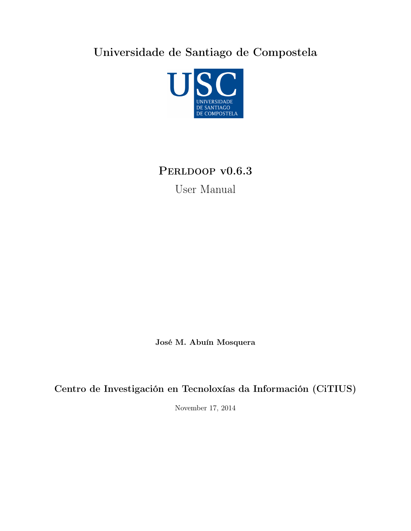Universidade de Santiago de Compostela



# PERLDOOP v0.6.3

User Manual

José M. Abuín Mosquera

Centro de Investigación en Tecnoloxías da Información (CiTIUS)

November 17, 2014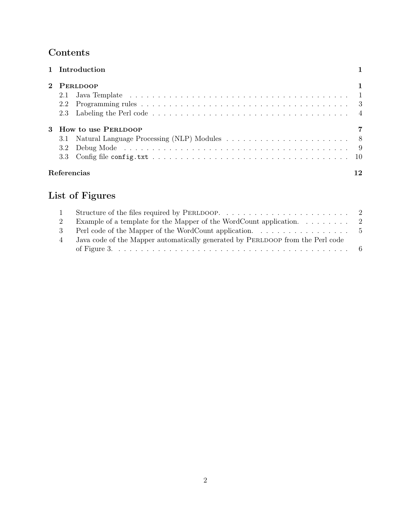# Contents

| 1 Introduction                                                                                                                                                                                                                        |  |
|---------------------------------------------------------------------------------------------------------------------------------------------------------------------------------------------------------------------------------------|--|
| 2 PERLDOOP                                                                                                                                                                                                                            |  |
| 2.1                                                                                                                                                                                                                                   |  |
| 2.2                                                                                                                                                                                                                                   |  |
|                                                                                                                                                                                                                                       |  |
| 3 How to use PERLDOOP                                                                                                                                                                                                                 |  |
| 3.1                                                                                                                                                                                                                                   |  |
| Debug Mode received and the contract of the contract of the contract of the contract of the contract of the contract of the contract of the contract of the contract of the contract of the contract of the contract of the co<br>3.2 |  |
|                                                                                                                                                                                                                                       |  |
| Referencias                                                                                                                                                                                                                           |  |

# List of Figures

| 2 | Example of a template for the Mapper of the WordCount application. $\ldots \ldots \ldots$ 2 |  |
|---|---------------------------------------------------------------------------------------------|--|
|   | 3 Perl code of the Mapper of the WordCount application. 5                                   |  |
| 4 | Java code of the Mapper automatically generated by PERLDOOP from the Perl code              |  |
|   |                                                                                             |  |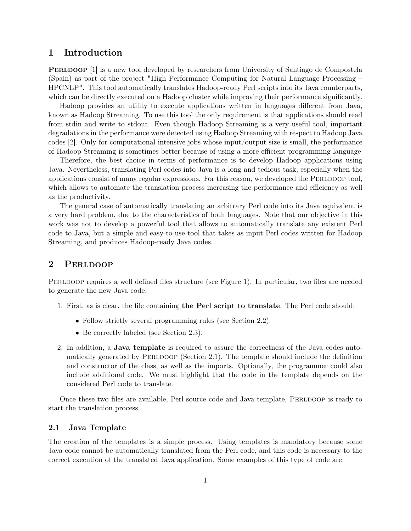## 1 Introduction

**PERLDOOP** [1] is a new tool developed by researchers from University of Santiago de Compostela (Spain) as part of the project "High Performance Computing for Natural Language Processing – HPCNLP". This tool automatically translates Hadoop-ready Perl scripts into its Java counterparts, which can be directly executed on a Hadoop cluster while improving their performance significantly.

Hadoop provides an utility to execute applications written in languages different from Java, known as Hadoop Streaming. To use this tool the only requirement is that applications should read from stdin and write to stdout. Even though Hadoop Streaming is a very useful tool, important degradations in the performance were detected using Hadoop Streaming with respect to Hadoop Java codes [2]. Only for computational intensive jobs whose input/output size is small, the performance of Hadoop Streaming is sometimes better because of using a more efficient programming language

Therefore, the best choice in terms of performance is to develop Hadoop applications using Java. Nevertheless, translating Perl codes into Java is a long and tedious task, especially when the applications consist of many regular expressions. For this reason, we developed the PERLDOOP tool. which allows to automate the translation process increasing the performance and efficiency as well as the productivity.

The general case of automatically translating an arbitrary Perl code into its Java equivalent is a very hard problem, due to the characteristics of both languages. Note that our objective in this work was not to develop a powerful tool that allows to automatically translate any existent Perl code to Java, but a simple and easy-to-use tool that takes as input Perl codes written for Hadoop Streaming, and produces Hadoop-ready Java codes.

## 2 Perldoop

PERLDOOP requires a well defined files structure (see Figure 1). In particular, two files are needed to generate the new Java code:

- 1. First, as is clear, the file containing the Perl script to translate. The Perl code should:
	- Follow strictly several programming rules (see Section 2.2).
	- Be correctly labeled (see Section 2.3).
- 2. In addition, a Java template is required to assure the correctness of the Java codes automatically generated by PERLDOOP (Section 2.1). The template should include the definition and constructor of the class, as well as the imports. Optionally, the programmer could also include additional code. We must highlight that the code in the template depends on the considered Perl code to translate.

Once these two files are available, Perl source code and Java template, PERLDOOP is ready to start the translation process.

#### 2.1 Java Template

The creation of the templates is a simple process. Using templates is mandatory because some Java code cannot be automatically translated from the Perl code, and this code is necessary to the correct execution of the translated Java application. Some examples of this type of code are: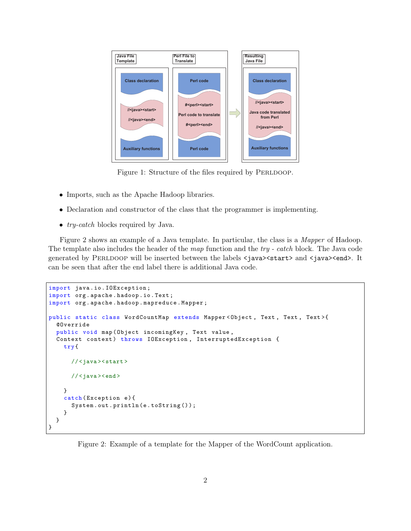

Figure 1: Structure of the files required by PERLDOOP.

- Imports, such as the Apache Hadoop libraries.
- Declaration and constructor of the class that the programmer is implementing.
- *try-catch* blocks required by Java.

Figure 2 shows an example of a Java template. In particular, the class is a Mapper of Hadoop. The template also includes the header of the map function and the try - catch block. The Java code generated by PERLDOOP will be inserted between the labels <java><start> and <java><end>. It can be seen that after the end label there is additional Java code.

```
import java . io . IOException ;
import org . apache . hadoop . io . Text ;
import org . apache . hadoop . mapreduce . Mapper ;
public static class WordCountMap extends Mapper < Object , Text , Text , Text >{
  @Override
  public void map ( Object incomingKey , Text value ,
  Context context) throws IOException, InterruptedException {
    try {
      //<java><start>
      //<java><end>
    }
    catch (Exception e) {
      System.out.println(e.toString());
    }
  }
}
```
Figure 2: Example of a template for the Mapper of the WordCount application.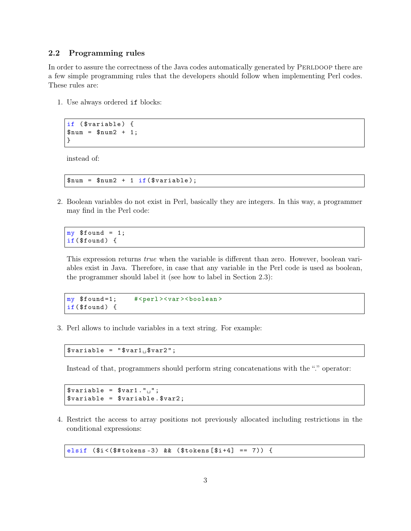#### 2.2 Programming rules

In order to assure the correctness of the Java codes automatically generated by PERLDOOP there are a few simple programming rules that the developers should follow when implementing Perl codes. These rules are:

1. Use always ordered if blocks:

```
if ($variable) {
$num = $num2 + 1;}
```
instead of:

 $$num = $num2 + 1 if ($variable);$ 

2. Boolean variables do not exist in Perl, basically they are integers. In this way, a programmer may find in the Perl code:

```
my $found = 1;if($found) {
```
This expression returns *true* when the variable is different than zero. However, boolean variables exist in Java. Therefore, in case that any variable in the Perl code is used as boolean, the programmer should label it (see how to label in Section 2.3):

```
my $found=1; #<perl><var><boolean>
if($found) {
```
3. Perl allows to include variables in a text string. For example:

 $$variable = "$var1<sub>u</sub>$var2";$ 

Instead of that, programmers should perform string concatenations with the "." operator:

 $$variable = $var1. "^\top;$ \$variable = \$variable . \$var2 ;

4. Restrict the access to array positions not previously allocated including restrictions in the conditional expressions:

elsif ( \$i <(\$# tokens -3) && ( \$tokens [ \$i +4] == 7)) {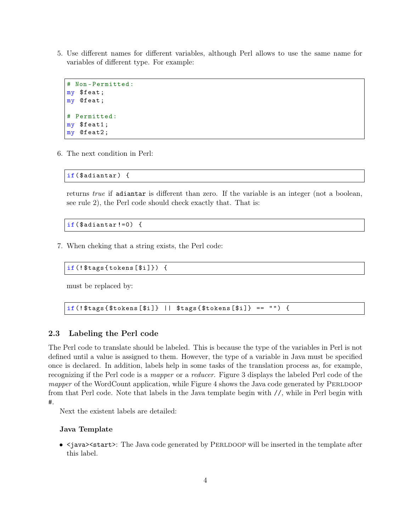5. Use different names for different variables, although Perl allows to use the same name for variables of different type. For example:

```
# Non - Permitted :
my $feat ;
my @feat ;
# Permitted :
my $feat1 ;
my @feat2 ;
```
6. The next condition in Perl:

if(\$adiantar) {

returns true if adiantar is different than zero. If the variable is an integer (not a boolean, see rule 2), the Perl code should check exactly that. That is:

```
if($adiantar!=0) {
```
7. When cheking that a string exists, the Perl code:

```
if (! $tags { tokens [ $i ]}) {
```
must be replaced by:

```
if (!$tags {$ tokens [$i] } || $tags {$tools [4] } = "") { }
```
#### 2.3 Labeling the Perl code

The Perl code to translate should be labeled. This is because the type of the variables in Perl is not defined until a value is assigned to them. However, the type of a variable in Java must be specified once is declared. In addition, labels help in some tasks of the translation process as, for example, recognizing if the Perl code is a mapper or a reducer. Figure 3 displays the labeled Perl code of the mapper of the WordCount application, while Figure 4 shows the Java code generated by PERLDOOP from that Perl code. Note that labels in the Java template begin with //, while in Perl begin with #.

Next the existent labels are detailed:

#### Java Template

•  $\leq$  is  $\geq$  is tart  $\geq$ : The Java code generated by PERLDOOP will be inserted in the template after this label.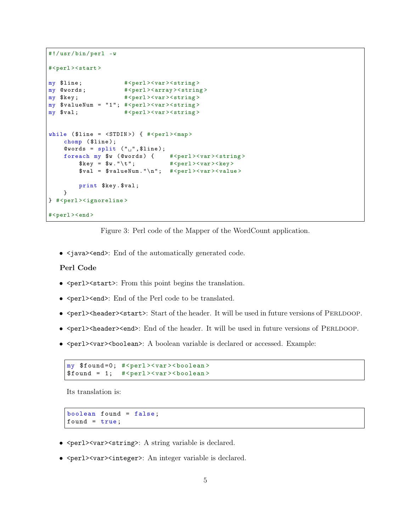```
#!/ usr / bin/ perl -w
#<perl><start>
my $line; \# <perl> <var > <string >
my @words; \# <perl> <array > <string >
my $key; \qquad # <perl > <var > <string >
my $valueNum = "1"; #<perl><var><string>
my $val; # <perl> <var > <string >
while ($line = <STDIN) { #<perl><map>chomp ($line);
    @words = split ( " <math>__</math>", $line );foreach my $w ( @words ) { #<perl > <var > <string >
        $key = $w . " \ t " ; #<perl > <var > <key >
        $val = $valueNum. " \n'; # <perl> \vartheta > \varthetaprint $key . $val ;
    }
} #<perl > < ignoreline >
#<perl><end>
```
Figure 3: Perl code of the Mapper of the WordCount application.

• <java><end>: End of the automatically generated code.

#### Perl Code

- <perl><start>: From this point begins the translation.
- <perl><end>: End of the Perl code to be translated.
- <perl><header><start>: Start of the header. It will be used in future versions of PERLDOOP.
- <perl><header><end>: End of the header. It will be used in future versions of PERLDOOP.
- <perl><var><br/>boolean>: A boolean variable is declared or accessed. Example:

```
my $found=0; #<perl><var><boolean>
$found = 1; #<perl><var><b></b> <b></b> <b></b> <b></b> <b>for</b>l<sub>1</sub> <b>for</b>l<sub>2</sub> <b>for</b>l<sub>3</sub> <b>for</b>l<sub>4</sub> <b>for</b>l<sub>5</sub> <b>for</b>l<sub>6</sub> <b>for</b>l<sub>7</sub> <b>for</b>l<sub>7</sub> <b>for</b>l<sub>7</sub> <b>for</b>l<sub>7</sub> <b>for</b>l<sub>7</sub> <b>for</b>l<sub>7</sub> <
```
Its translation is:

```
boolean found = false ;
found = true;
```
- <perl><var><string>: A string variable is declared.
- <perl><var>>integer>: An integer variable is declared.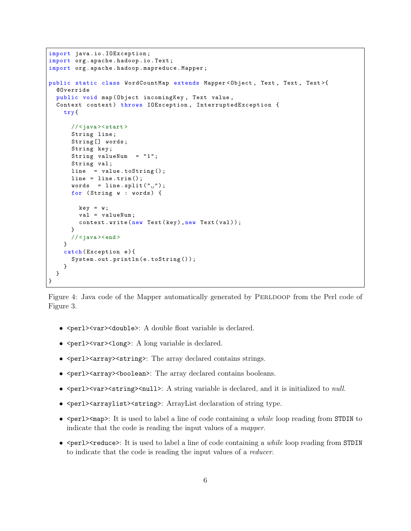```
import java . io . IOException ;
import org . apache . hadoop . io . Text ;
import org . apache . hadoop . mapreduce . Mapper ;
public static class WordCountMap extends Mapper<Object, Text, Text, Text>{
  @Override
  public void map (Object incomingKey, Text value,
  Context context) throws IOException, InterruptedException {
    try {
      //<java><start>
      String line ;
      String [] words ;
      String key ;
      String valueNum = "1";
      String val;
      line = value.toString();
      line = line.trim();
      words = line.split("_{||}'');
      for (String w : words) {
        key = w;val = valueNum ;
        context.write (new Text (key), new Text (val));
      }
      //<java><end>
    }
    catch (Exception e) {
      System.out.println(e.toString());
    }
  }
}
```
Figure 4: Java code of the Mapper automatically generated by PERLDOOP from the Perl code of Figure 3.

- <perl><var><double>: A double float variable is declared.
- $\epsilon$  <perl> \cdots var> \cdots long variable is declared.
- <perl><array><string>: The array declared contains strings.
- $\epsilon$  <br/>perl><array><br/>boolean>: The array declared contains booleans.
- <perl><var><string><null>: A string variable is declared, and it is initialized to *null*.
- <perl><arraylist><string>: ArrayList declaration of string type.
- <perl><map>: It is used to label a line of code containing a *while* loop reading from STDIN to indicate that the code is reading the input values of a mapper.
- $\epsilon$  <perl> $\epsilon$ reduce>: It is used to label a line of code containing a *while* loop reading from STDIN to indicate that the code is reading the input values of a reducer.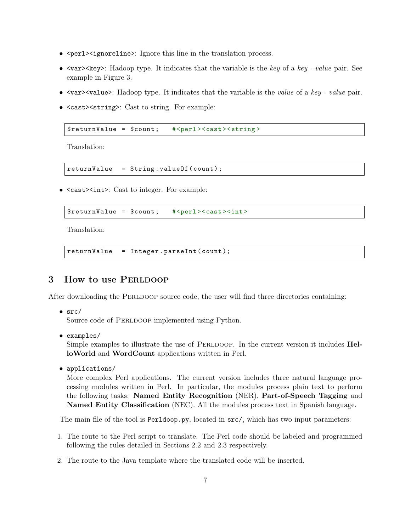- <perl><ignoreline>: Ignore this line in the translation process.
- $\langle \text{var} \rangle \langle \text{key} \rangle$ : Hadoop type. It indicates that the variable is the key of a key value pair. See example in Figure 3.
- <var>>value>: Hadoop type. It indicates that the variable is the value of a key value pair.
- <cast><string>: Cast to string. For example:

\$returnValue = \$count; #<perl><cast><string>

Translation:

```
returnValue = String . valueOf ( count ) ;
```
• <cast><int>: Cast to integer. For example:

```
$return Value = $count; # <perl > < cast > < int >
```
Translation:

```
returnValue = Integer . parseInt ( count ) ;
```
## 3 How to use PERLDOOP

After downloading the PERLDOOP source code, the user will find three directories containing:

 $\bullet$  src/

Source code of PERLDOOP implemented using Python.

• examples/

Simple examples to illustrate the use of PERLDOOP. In the current version it includes **Hel**loWorld and WordCount applications written in Perl.

• applications/

More complex Perl applications. The current version includes three natural language processing modules written in Perl. In particular, the modules process plain text to perform the following tasks: Named Entity Recognition (NER), Part-of-Speech Tagging and Named Entity Classification (NEC). All the modules process text in Spanish language.

The main file of the tool is Perldoop.py, located in src/, which has two input parameters:

- 1. The route to the Perl script to translate. The Perl code should be labeled and programmed following the rules detailed in Sections 2.2 and 2.3 respectively.
- 2. The route to the Java template where the translated code will be inserted.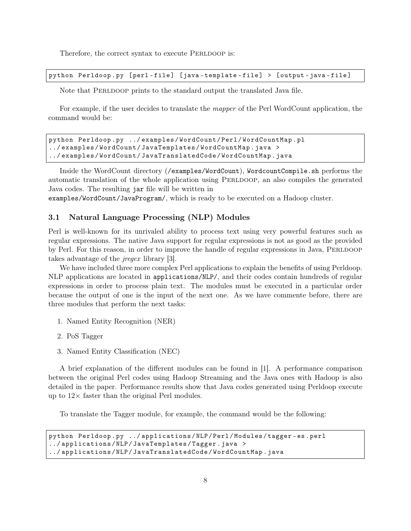Therefore, the correct syntax to execute PERLDOOP is:

python Perldoop.py [perl-file] [java-template-file] > [output-java-file]

Note that PERLDOOP prints to the standard output the translated Java file.

For example, if the user decides to translate the mapper of the Perl WordCount application, the command would be:

```
python Perldoop . py ../ examples / WordCount / Perl / WordCountMap . pl
../ examples / WordCount / JavaTemplates / WordCountMap . java >
../ examples / WordCount / JavaTranslatedCode / WordCountMap . java
```
Inside the WordCount directory (/examples/WordCount), WordcountCompile.sh performs the automatic translation of the whole application using PERLDOOP, an also compiles the generated Java codes. The resulting jar file will be written in

examples/WordCount/JavaProgram/, which is ready to be executed on a Hadoop cluster.

#### 3.1 Natural Language Processing (NLP) Modules

Perl is well-known for its unrivaled ability to process text using very powerful features such as regular expressions. The native Java support for regular expressions is not as good as the provided by Perl. For this reason, in order to improve the handle of regular expressions in Java, PERLDOOP takes advantage of the jregex library [3].

We have included three more complex Perl applications to explain the benefits of using Perldoop. NLP applications are located in applications/NLP/, and their codes contain hundreds of regular expressions in order to process plain text. The modules must be executed in a particular order because the output of one is the input of the next one. As we have commente before, there are three modules that perform the next tasks:

- 1. Named Entity Recognition (NER)
- 2. PoS Tagger
- 3. Named Entity Classification (NEC)

A brief explanation of the different modules can be found in [1]. A performance comparison between the original Perl codes using Hadoop Streaming and the Java ones with Hadoop is also detailed in the paper. Performance results show that Java codes generated using Perldoop execute up to  $12\times$  faster than the original Perl modules.

To translate the Tagger module, for example, the command would be the following:

```
python Perldoop . py ../ applications / NLP / Perl / Modules / tagger - es . perl
../ applications / NLP / JavaTemplates / Tagger . java >
../ applications / NLP / JavaTranslatedCode / WordCountMap . java
```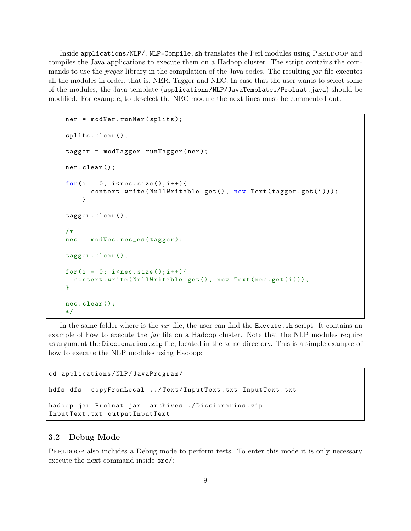Inside applications/NLP/, NLP-Compile.sh translates the Perl modules using PERLDOOP and compiles the Java applications to execute them on a Hadoop cluster. The script contains the commands to use the *jregex* library in the compilation of the Java codes. The resulting *jar* file executes all the modules in order, that is, NER, Tagger and NEC. In case that the user wants to select some of the modules, the Java template (applications/NLP/JavaTemplates/Prolnat.java) should be modified. For example, to deselect the NEC module the next lines must be commented out:

```
ner = modNer . runNer ( splits );
splits . clear ();
tagger = modTagger . runTagger ( ner );
ner . clear ();
for (i = 0; i < nec.size(); i++)context.write (NullWritable.get (), new Text (tagger.get(i)));
    }
tagger . clear ();
/*
nec = modNec . nec_es ( tagger );
tagger . clear ();
for (i = 0; i < nec.size(); i++)context.write (NullWritable.get (), new Text (nec.get (i)));
}
nec . clear ();
*/
```
In the same folder where is the *jar* file, the user can find the Execute. Sh script. It contains an example of how to execute the jar file on a Hadoop cluster. Note that the NLP modules require as argument the Diccionarios.zip file, located in the same directory. This is a simple example of how to execute the NLP modules using Hadoop:

```
cd applications / NLP / JavaProgram /
hdfs dfs - copyFromLocal ../ Text / InputText . txt InputText . txt
hadoop jar Prolnat . jar - archives ./ Diccionarios . zip
InputText . txt outputInputText
```
#### 3.2 Debug Mode

PERLDOOP also includes a Debug mode to perform tests. To enter this mode it is only necessary execute the next command inside src/: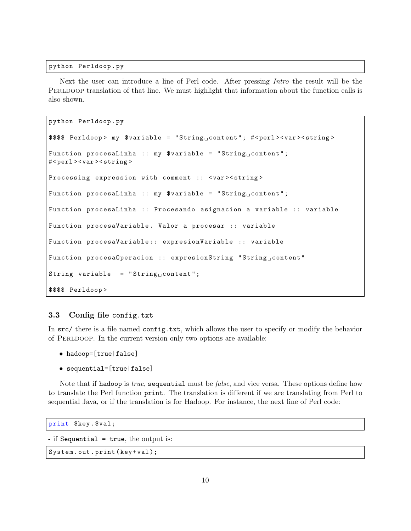python Perldoop . py

Next the user can introduce a line of Perl code. After pressing Intro the result will be the PERLDOOP translation of that line. We must highlight that information about the function calls is also shown.

```
python Perldoop . py
$$ Perldoop> my var > n = "String
content"; #<perl><var><string>
Function procesaLinha :: my \text{variable} = "String_U content";
# < perl > < var > < string >
Processing expression with comment :: <var> <string>
Function procesaLinha :: my $variable = "String_{\sqcup} content";
Function procesaLinha :: Procesando asignacion a variable :: variable
Function procesaVariable. Valor a procesar :: variable
Function procesaVariable :: expresionVariable :: variable
Function procesa0peracion :: expresionString "String\text{\textsf{u}}content"
String variable = "Stringcontent";
$$$$ Perldoop >
```
#### 3.3 Config file config.txt

In src/ there is a file named config.txt, which allows the user to specify or modify the behavior of PERLDOOP. In the current version only two options are available:

- hadoop=[true|false]
- sequential=[true|false]

Note that if hadoop is *true*, sequential must be *false*, and vice versa. These options define how to translate the Perl function print. The translation is different if we are translating from Perl to sequential Java, or if the translation is for Hadoop. For instance, the next line of Perl code:

```
print $key . $val ;
```

```
- if Sequential = true, the output is:
```

```
System.out.print (key+val);
```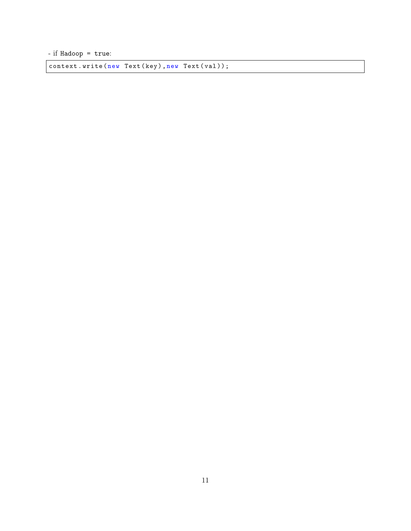- if Hadoop = true:

context.write (new Text (key), new Text (val));